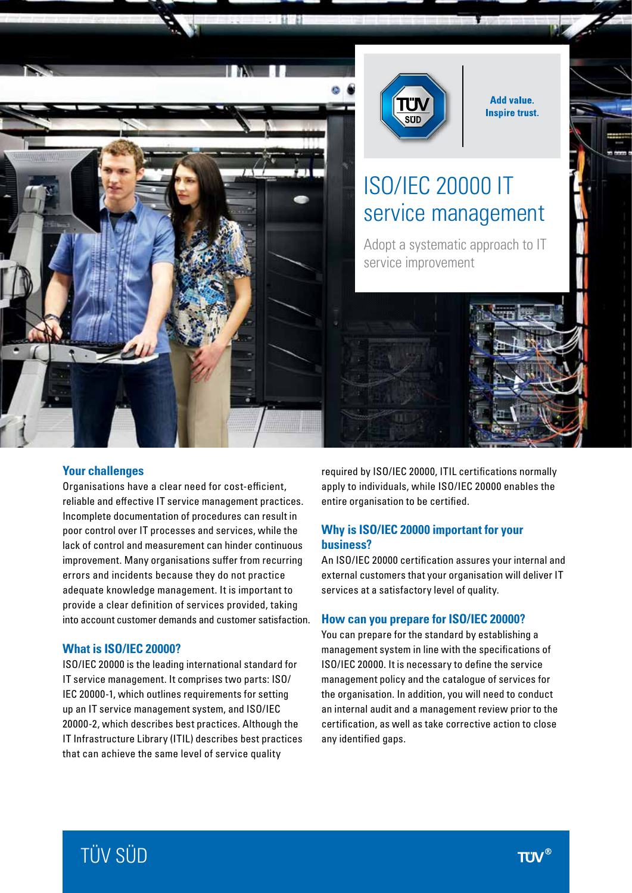



**Add value. Inspire trust.** 

# ISO/IEC 20000 IT service management

Adopt a systematic approach to IT service improvement

#### **Your challenges**

Organisations have a clear need for cost-efficient, reliable and effective IT service management practices. Incomplete documentation of procedures can result in poor control over IT processes and services, while the lack of control and measurement can hinder continuous improvement. Many organisations suffer from recurring errors and incidents because they do not practice adequate knowledge management. It is important to provide a clear definition of services provided, taking into account customer demands and customer satisfaction.

#### **What is ISO/IEC 20000?**

ISO/IEC 20000 is the leading international standard for IT service management. It comprises two parts: ISO/ IEC 20000-1, which outlines requirements for setting up an IT service management system, and ISO/IEC 20000-2, which describes best practices. Although the IT Infrastructure Library (ITIL) describes best practices that can achieve the same level of service quality

required by ISO/IEC 20000, ITIL certifications normally apply to individuals, while ISO/IEC 20000 enables the entire organisation to be certified.

### **Why is ISO/IEC 20000 important for your business?**

An ISO/IEC 20000 certification assures your internal and external customers that your organisation will deliver IT services at a satisfactory level of quality.

#### **How can you prepare for ISO/IEC 20000?**

You can prepare for the standard by establishing a management system in line with the specifications of ISO/IEC 20000. It is necessary to define the service management policy and the catalogue of services for the organisation. In addition, you will need to conduct an internal audit and a management review prior to the certification, as well as take corrective action to close any identified gaps.

# TÜV SÜD